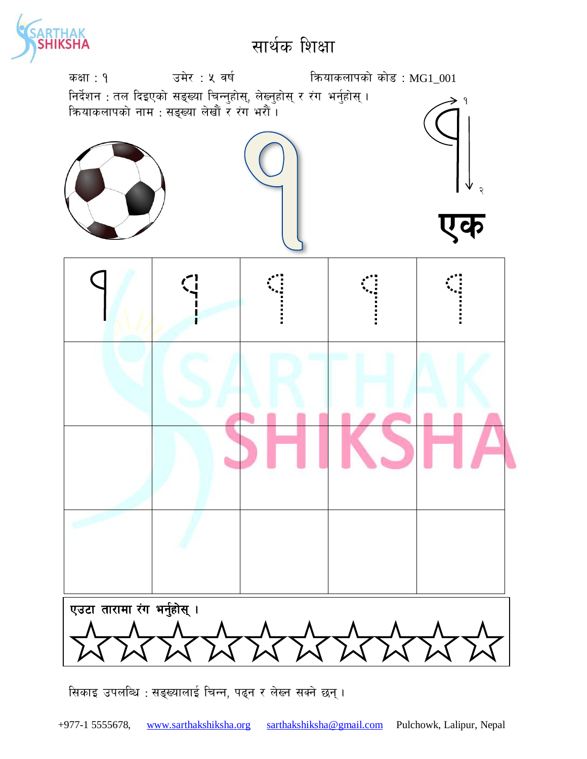

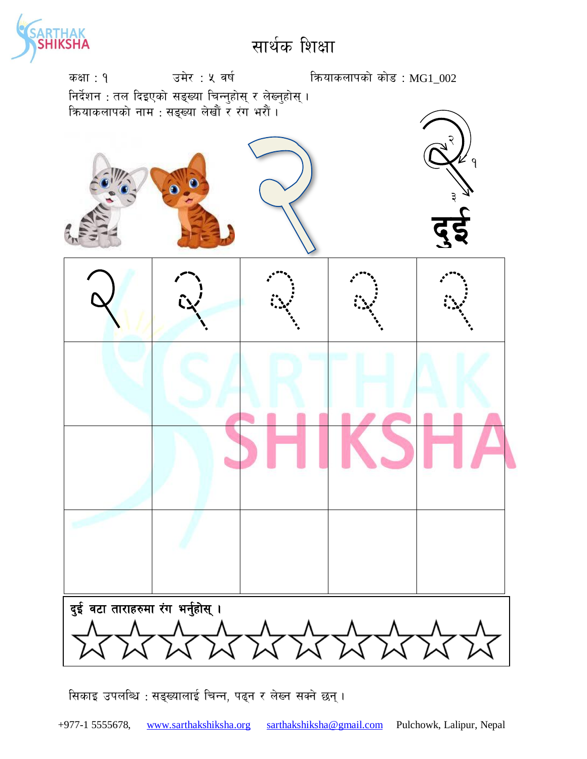

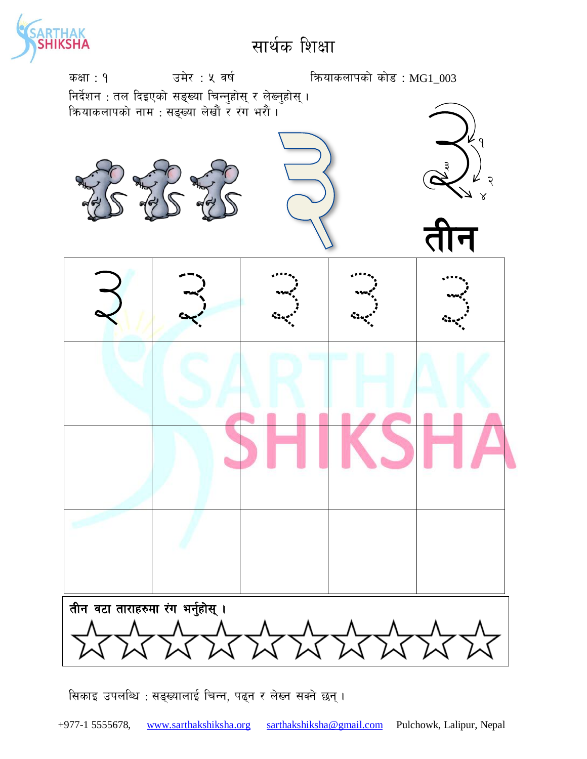

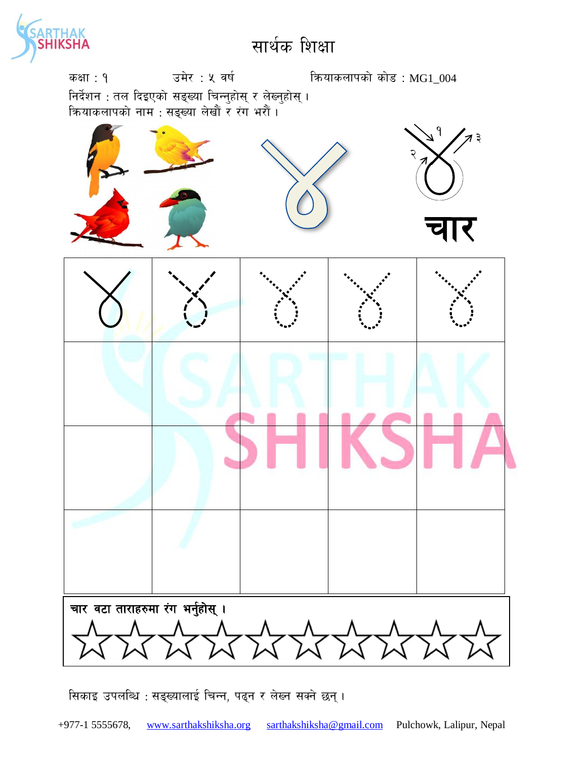

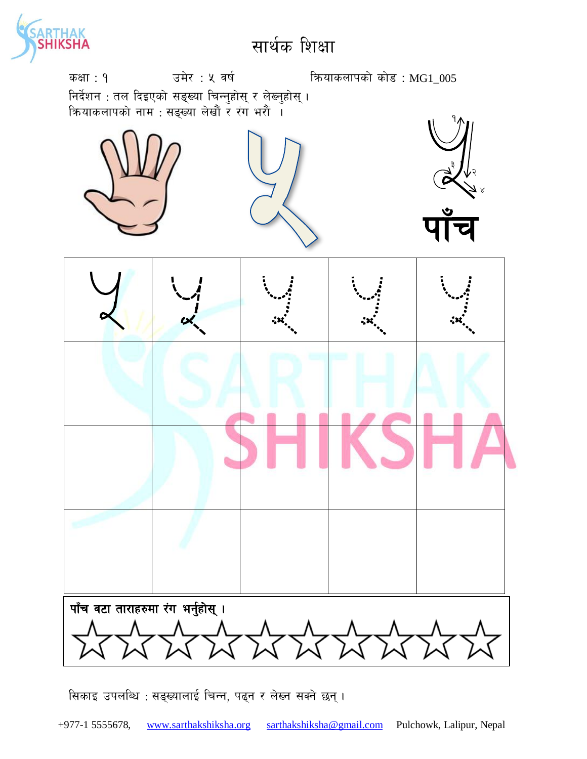

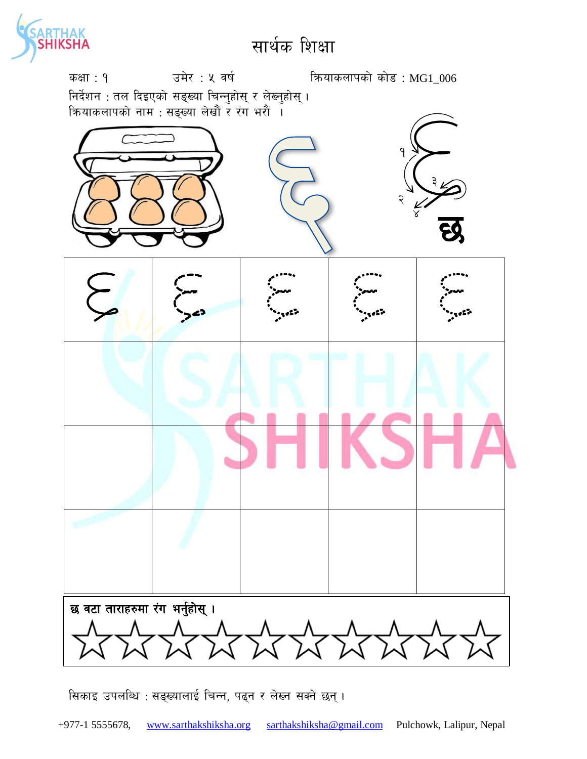

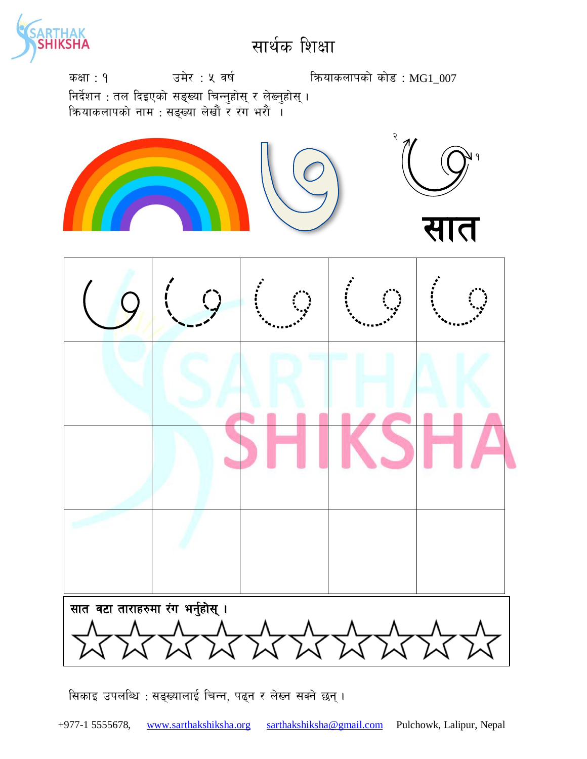![](_page_6_Picture_0.jpeg)

![](_page_6_Figure_2.jpeg)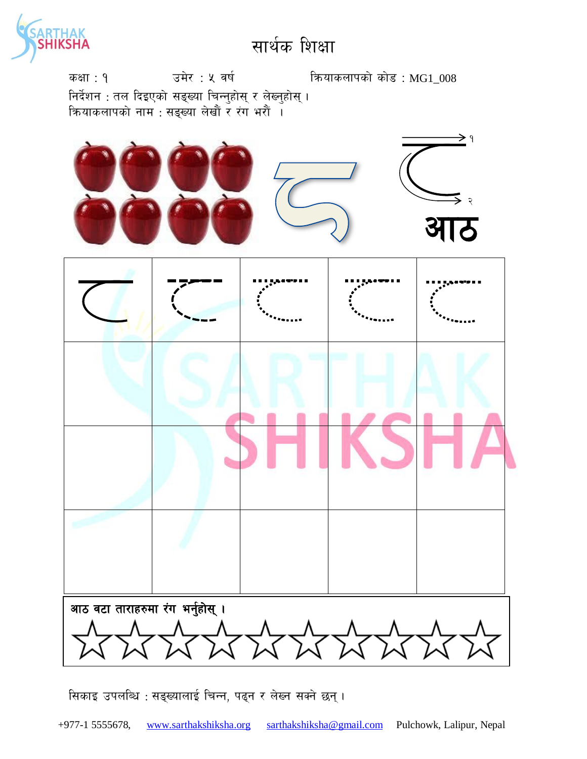![](_page_7_Picture_0.jpeg)

कक्षा: १  $\overline{3}$  उमेर : ५ वर्ष कियाकलापको कोड : MG1\_008 निर्देशन : तल दिइएको सङ्ख्या चिन्नुहोस् र लेख्नुहोस् । कियाकलापको नाम : सङ्ख्या लेखौं र रंग भरौं ।

![](_page_7_Figure_3.jpeg)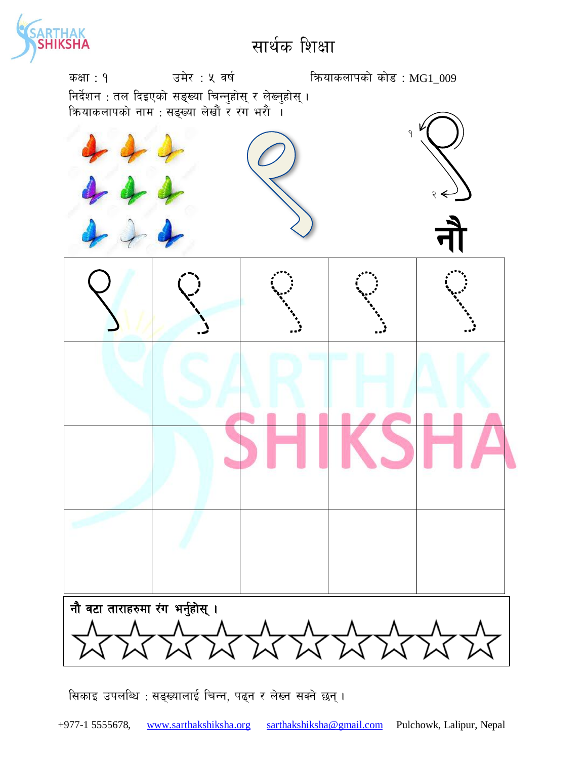![](_page_8_Picture_0.jpeg)

![](_page_8_Figure_2.jpeg)